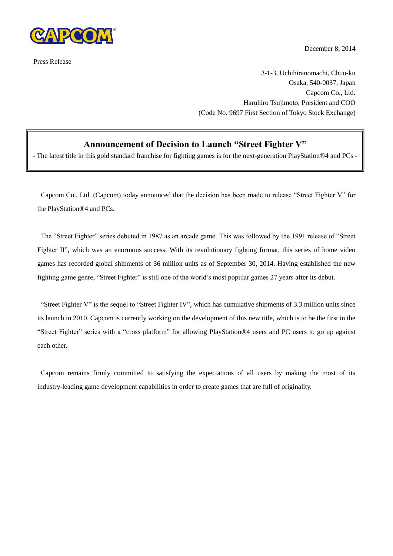

Press Release

December 8, 2014

3-1-3, Uchihiranomachi, Chuo-ku Osaka, 540-0037, Japan Capcom Co., Ltd. Haruhiro Tsujimoto, President and COO (Code No. 9697 First Section of Tokyo Stock Exchange)

## **Announcement of Decision to Launch "Street Fighter V"**

- The latest title in this gold standard franchise for fighting games is for the next-generation PlayStation®4 and PCs -

Capcom Co., Ltd. (Capcom) today announced that the decision has been made to release "Street Fighter V" for the PlayStation®4 and PCs.

The "Street Fighter" series debuted in 1987 as an arcade game. This was followed by the 1991 release of "Street Fighter II", which was an enormous success. With its revolutionary fighting format, this series of home video games has recorded global shipments of 36 million units as of September 30, 2014. Having established the new fighting game genre, "Street Fighter" is still one of the world's most popular games 27 years after its debut.

"Street Fighter V" is the sequel to "Street Fighter IV", which has cumulative shipments of 3.3 million units since its launch in 2010. Capcom is currently working on the development of this new title, which is to be the first in the "Street Fighter" series with a "cross platform" for allowing PlayStation®4 users and PC users to go up against each other.

Capcom remains firmly committed to satisfying the expectations of all users by making the most of its industry-leading game development capabilities in order to create games that are full of originality.